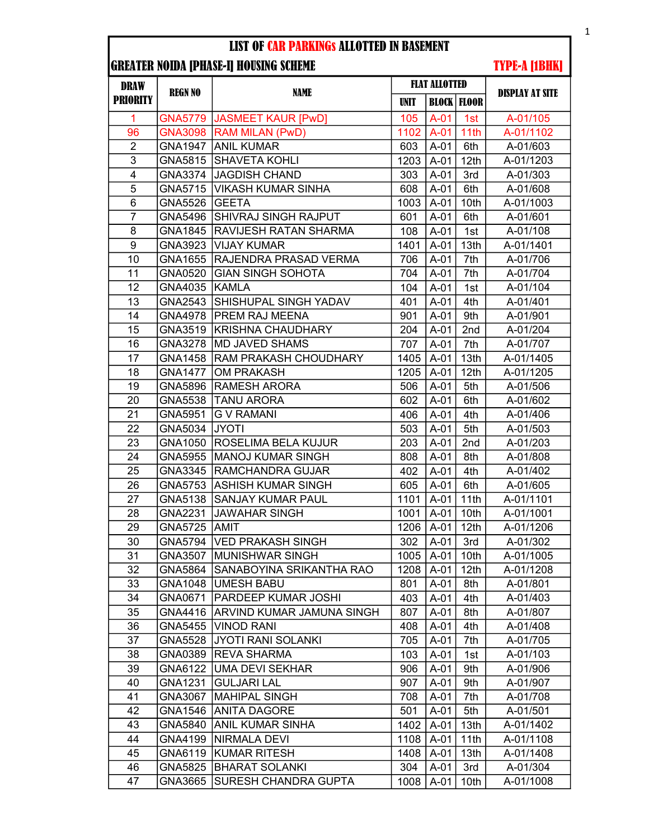### LIST OF CAR PARKINGs ALLOTTED IN BASEMENT

# GREATER NOIDA [PHASE-I] HOUSING SCHEME

# TYPE-A [1BHK]

| <b>DRAW</b><br><b>PRIORITY</b> | <b>REGN NO</b> | <b>NAME</b>                       | <b>FLAT ALLOTTED</b> |             |                      |                        |
|--------------------------------|----------------|-----------------------------------|----------------------|-------------|----------------------|------------------------|
|                                |                |                                   | <b>UNIT</b>          |             | <b>BLOCK   FLOOR</b> | <b>DISPLAY AT SITE</b> |
| 1                              |                | GNA5779   JASMEET KAUR [PwD]      | 105                  | $A-01$      | 1st                  | A-01/105               |
| 96                             | <b>GNA3098</b> | <b>RAM MILAN (PwD)</b>            | 1102                 | $A-01$      | 11th                 | A-01/1102              |
| $\overline{2}$                 | GNA1947        | <b>ANIL KUMAR</b>                 | 603                  | $A-01$      | 6th                  | A-01/603               |
| $\overline{3}$                 | GNA5815        | SHAVETA KOHLI                     | 1203                 | $A-01$      | 12th                 | A-01/1203              |
| 4                              |                | GNA3374 JAGDISH CHAND             | 303                  | $A-01$      | 3rd                  | A-01/303               |
| 5                              | GNA5715        | <b>VIKASH KUMAR SINHA</b>         | 608                  | $A-01$      | 6th                  | A-01/608               |
| $\overline{6}$                 | <b>GNA5526</b> | <b>GEETA</b>                      | 1003                 | $A-01$      | 10th                 | A-01/1003              |
| $\overline{7}$                 | GNA5496        | SHIVRAJ SINGH RAJPUT              | 601                  | $A-01$      | 6th                  | A-01/601               |
| 8                              | GNA1845        | <b>RAVIJESH RATAN SHARMA</b>      | 108                  | $A-01$      | 1st                  | A-01/108               |
| 9                              | GNA3923        | <b>VIJAY KUMAR</b>                | 1401                 | $A-01$      | 13th                 | A-01/1401              |
| 10                             | GNA1655        | RAJENDRA PRASAD VERMA             | 706                  | $A-01$      | 7th                  | A-01/706               |
| 11                             | GNA0520        | <b>GIAN SINGH SOHOTA</b>          | 704                  | $A-01$      | 7th                  | A-01/704               |
| 12                             | GNA4035        | KAMLA                             | 104                  | $A-01$      | 1st                  | A-01/104               |
| 13                             | GNA2543        | SHISHUPAL SINGH YADAV             | 401                  | $A-01$      | 4th                  | A-01/401               |
| 14                             | GNA4978        | <b>PREM RAJ MEENA</b>             | 901                  | $A-01$      | 9th                  | A-01/901               |
| 15                             | GNA3519        | <b>KRISHNA CHAUDHARY</b>          | 204                  | $A-01$      | 2nd                  | A-01/204               |
| 16                             | GNA3278        | <b>MD JAVED SHAMS</b>             | 707                  | $A-01$      | 7th                  | A-01/707               |
| 17                             | GNA1458        | RAM PRAKASH CHOUDHARY             | 1405                 | $A-01$      | 13th                 | A-01/1405              |
| 18                             | <b>GNA1477</b> | <b>OM PRAKASH</b>                 | 1205                 | $A-01$      | 12th                 | A-01/1205              |
| 19                             | GNA5896        | RAMESH ARORA                      | 506                  | $A-01$      | 5th                  | A-01/506               |
| 20                             | GNA5538        | <b>TANU ARORA</b>                 | 602                  | $A-01$      | 6th                  | A-01/602               |
| 21                             | GNA5951        | <b>G V RAMANI</b>                 | 406                  | $A-01$      | 4th                  | A-01/406               |
| 22                             | GNA5034        | <b>JYOTI</b>                      | 503                  | $A-01$      | 5th                  | A-01/503               |
| 23                             | GNA1050        | <b>ROSELIMA BELA KUJUR</b>        | 203                  | $A-01$      | 2nd                  | A-01/203               |
| 24                             | <b>GNA5955</b> | <b>MANOJ KUMAR SINGH</b>          | 808                  | $A-01$      | 8th                  | A-01/808               |
| 25                             | GNA3345        | <b>RAMCHANDRA GUJAR</b>           | 402                  | $A-01$      | 4th                  | A-01/402               |
| 26                             | GNA5753        | ASHISH KUMAR SINGH                | 605                  | $A-01$      | 6th                  | A-01/605               |
| 27                             | GNA5138        | <b>SANJAY KUMAR PAUL</b>          | 1101                 | $A-01$      | 11th                 | A-01/1101              |
| 28                             | GNA2231        | JAWAHAR SINGH                     | 1001                 | $A-01$      | 10th                 | A-01/1001              |
| 29                             | GNA5725        | <b>AMIT</b>                       | 1206                 | $A-01$      | 12th                 | A-01/1206              |
| 30                             | GNA5794        | <b>VED PRAKASH SINGH</b>          | 302                  | $A-01$      | 3rd                  | A-01/302               |
| 31                             |                | GNA3507 MUNISHWAR SINGH           |                      | 1005   A-01 | 10th                 | A-01/1005              |
| 32                             | GNA5864        | SANABOYINA SRIKANTHA RAO          | 1208                 | $A-01$      | 12 <sub>th</sub>     | A-01/1208              |
| 33                             |                | GNA1048   UMESH BABU              | 801                  | A-01        | 8th                  | A-01/801               |
| 34                             | GNA0671        | <b>PARDEEP KUMAR JOSHI</b>        | 403                  | $A-01$      | 4th                  | A-01/403               |
| 35                             |                | GNA4416 ARVIND KUMAR JAMUNA SINGH | 807                  | $A-01$      | 8th                  | A-01/807               |
| 36                             | GNA5455        | <b>VINOD RANI</b>                 | 408                  | $A-01$      | 4th                  | A-01/408               |
| 37                             | <b>GNA5528</b> | JYOTI RANI SOLANKI                | 705                  | $A-01$      | 7th                  | A-01/705               |
| 38                             | GNA0389        | REVA SHARMA                       | 103                  | $A-01$      | 1st                  | A-01/103               |
| 39                             | GNA6122        | <b>UMA DEVI SEKHAR</b>            | 906                  | $A-01$      | 9th                  | A-01/906               |
| 40                             | GNA1231        | <b>GULJARI LAL</b>                | 907                  | $A-01$      | 9th                  | A-01/907               |
| 41                             | GNA3067        | <b>MAHIPAL SINGH</b>              | 708                  | $A-01$      | 7th                  | A-01/708               |
| 42                             | GNA1546        | <b>ANITA DAGORE</b>               | 501                  | $A-01$      | 5th                  | A-01/501               |
| 43                             | GNA5840        | <b>ANIL KUMAR SINHA</b>           | 1402                 | $A-01$      | 13th                 | A-01/1402              |
| 44                             | GNA4199        | NIRMALA DEVI                      | 1108                 | $A-01$      | 11th                 | A-01/1108              |
| 45                             | GNA6119        | KUMAR RITESH                      | 1408                 | $A-01$      | 13th                 | A-01/1408              |
| 46                             | GNA5825        | BHARAT SOLANKI                    | 304                  | $A-01$      | 3rd                  | A-01/304               |
| 47                             | GNA3665        | <b>SURESH CHANDRA GUPTA</b>       | 1008                 | $A-01$      | 10th                 | A-01/1008              |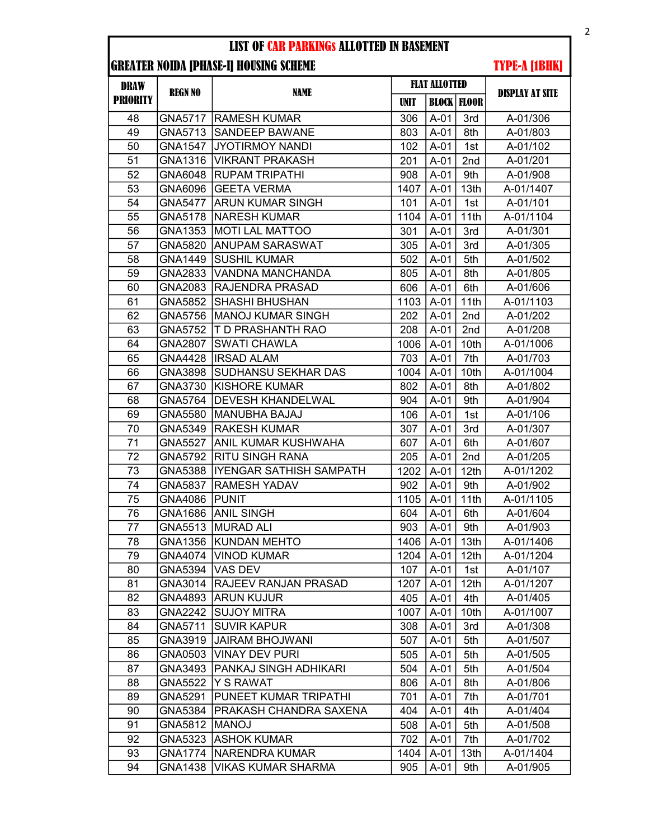#### LIST OF CAR PARKINGs ALLOTTED IN BASEMENT

## GREATER NOIDA [PHASE-I] HOUSING SCHEME

TYPE-A [1BHK]

| <b>DRAW</b><br><b>PRIORITY</b> | <b>REGN NO</b> | <b>NAME</b>                  | <b>FLAT ALLOTTED</b> |             |                      |                        |
|--------------------------------|----------------|------------------------------|----------------------|-------------|----------------------|------------------------|
|                                |                |                              | <b>UNIT</b>          |             | <b>BLOCK   FLOOR</b> | <b>DISPLAY AT SITE</b> |
| 48                             | GNA5717        | <b>RAMESH KUMAR</b>          | 306                  | $A-01$      | 3rd                  | A-01/306               |
| 49                             | GNA5713        | <b>SANDEEP BAWANE</b>        | 803                  | $A-01$      | 8th                  | A-01/803               |
| 50                             | GNA1547        | <b>JYOTIRMOY NANDI</b>       | 102                  | $A-01$      | 1st                  | A-01/102               |
| 51                             | GNA1316        | <b>VIKRANT PRAKASH</b>       | 201                  | $A-01$      | 2nd                  | A-01/201               |
| 52                             | GNA6048        | <b>RUPAM TRIPATHI</b>        | 908                  | $A-01$      | 9th                  | A-01/908               |
| 53                             | GNA6096        | <b>GEETA VERMA</b>           | 1407                 | $A-01$      | 13th                 | A-01/1407              |
| 54                             | <b>GNA5477</b> | IARUN KUMAR SINGH            | 101                  | $A-01$      | 1st                  | A-01/101               |
| 55                             | GNA5178        | <b>NARESH KUMAR</b>          | 1104                 | $A-01$      | 11th                 | A-01/1104              |
| 56                             | GNA1353        | MOTI LAL MATTOO              | 301                  | $A-01$      | 3rd                  | A-01/301               |
| 57                             | GNA5820        | <b>ANUPAM SARASWAT</b>       | 305                  | $A-01$      | 3rd                  | A-01/305               |
| 58                             | GNA1449        | SUSHIL KUMAR                 | 502                  | $A-01$      | 5th                  | A-01/502               |
| 59                             | GNA2833        | VANDNA MANCHANDA             | 805                  | $A-01$      | 8th                  | A-01/805               |
| 60                             | GNA2083        | <b>RAJENDRA PRASAD</b>       | 606                  | $A-01$      | 6th                  | A-01/606               |
| 61                             | <b>GNA5852</b> | <b>SHASHI BHUSHAN</b>        | 1103                 | $A-01$      | 11th                 | A-01/1103              |
| 62                             | GNA5756        | <b>MANOJ KUMAR SINGH</b>     | 202                  | $A-01$      | 2nd                  | A-01/202               |
| 63                             | <b>GNA5752</b> | <b>T D PRASHANTH RAO</b>     | 208                  | $A-01$      | 2nd                  | A-01/208               |
| 64                             | <b>GNA2807</b> | <b>SWATI CHAWLA</b>          | 1006                 | $A-01$      | 10th                 | A-01/1006              |
| 65                             | GNA4428        | lIRSAD ALAM                  | 703                  | $A-01$      | 7th                  | A-01/703               |
| 66                             | GNA3898        | SUDHANSU SEKHAR DAS          | 1004                 | $A-01$      | 10th                 | A-01/1004              |
| 67                             | GNA3730        | KISHORE KUMAR                | 802                  | $A-01$      | 8th                  | A-01/802               |
| 68                             | GNA5764        | <b>DEVESH KHANDELWAL</b>     | 904                  | $A-01$      | 9th                  | A-01/904               |
| 69                             | GNA5580        | MANUBHA BAJAJ                | 106                  | $A-01$      | 1st                  | A-01/106               |
| 70                             | GNA5349        | <b>RAKESH KUMAR</b>          | 307                  | $A-01$      | 3rd                  | A-01/307               |
| 71                             | <b>GNA5527</b> | ANIL KUMAR KUSHWAHA          | 607                  | $A-01$      | 6th                  | A-01/607               |
| 72                             | GNA5792        | RITU SINGH RANA              | 205                  | $A-01$      | 2nd                  | A-01/205               |
| 73                             | GNA5388        | IYENGAR SATHISH SAMPATH      | 1202                 | $A-01$      | 12th                 | A-01/1202              |
| 74                             | <b>GNA5837</b> | RAMESH YADAV                 | 902                  | $A-01$      | 9th                  | A-01/902               |
| 75                             | GNA4086        | PUNIT                        | 1105                 | $A-01$      | 11th                 | A-01/1105              |
| 76                             | GNA1686        | <b>ANIL SINGH</b>            | 604                  | $A-01$      | 6th                  | A-01/604               |
| 77                             | GNA5513        | <b>MURAD ALI</b>             | 903                  | $A-01$      | 9th                  | A-01/903               |
| 78                             | GNA1356        | <b>KUNDAN MEHTO</b>          | 1406                 | $A-01$      | 13th                 | A-01/1406              |
| 79                             |                | GNA4074   VINOD KUMAR        |                      | 1204   A-01 | 12 <sub>th</sub>     | A-01/1204              |
| 80                             | GNA5394        | VAS DEV                      | 107                  | $A-01$      | 1st                  | A-01/107               |
| 81                             | GNA3014        | <b>IRAJEEV RANJAN PRASAD</b> | 1207                 | $A-01$      | 12 <sub>th</sub>     | A-01/1207              |
| 82                             | GNA4893        | <b>ARUN KUJUR</b>            | 405                  | $A-01$      | 4th                  | A-01/405               |
| 83                             | GNA2242        | <b>SUJOY MITRA</b>           | 1007                 | $A-01$      | 10th                 | A-01/1007              |
| 84                             | GNA5711        | <b>SUVIR KAPUR</b>           | 308                  | $A-01$      | 3rd                  | A-01/308               |
| 85                             | GNA3919        | JAIRAM BHOJWANI              | 507                  | $A-01$      | 5th                  | A-01/507               |
| 86                             | GNA0503        | <b>VINAY DEV PURI</b>        | 505                  | $A-01$      | 5th                  | A-01/505               |
| 87                             | GNA3493        | PANKAJ SINGH ADHIKARI        | 504                  | $A-01$      | 5th                  | A-01/504               |
| 88                             | <b>GNA5522</b> | Y S RAWAT                    | 806                  | $A-01$      | 8th                  | A-01/806               |
| 89                             | GNA5291        | PUNEET KUMAR TRIPATHI        | 701                  | $A-01$      | 7th                  | A-01/701               |
| 90                             | GNA5384        | PRAKASH CHANDRA SAXENA       | 404                  | $A-01$      | 4th                  | A-01/404               |
| 91                             | GNA5812        | <b>MANOJ</b>                 | 508                  | $A-01$      | 5th                  | A-01/508               |
| 92                             | GNA5323        | <b>ASHOK KUMAR</b>           | 702                  | $A-01$      | 7th                  | A-01/702               |
| 93                             | <b>GNA1774</b> | <b>NARENDRA KUMAR</b>        | 1404                 | $A-01$      | 13th                 | A-01/1404              |
| 94                             | GNA1438        | VIKAS KUMAR SHARMA           | 905                  | $A-01$      | 9th                  | A-01/905               |